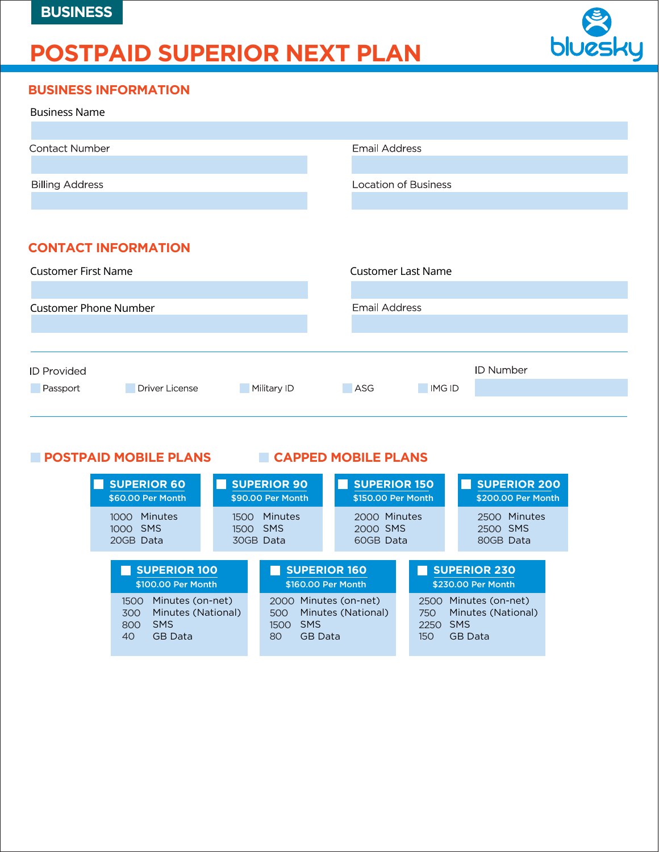# **POSTPAID SUPERIOR NEXT PLAN**



#### **BUSINESS INFORMATION**

| <b>Business Name</b>                             |                             |  |  |  |
|--------------------------------------------------|-----------------------------|--|--|--|
|                                                  |                             |  |  |  |
| Contact Number                                   | <b>Email Address</b>        |  |  |  |
|                                                  |                             |  |  |  |
| <b>Billing Address</b>                           | <b>Location of Business</b> |  |  |  |
|                                                  |                             |  |  |  |
|                                                  |                             |  |  |  |
| <b>CONTACT INFORMATION</b>                       |                             |  |  |  |
| <b>Customer First Name</b>                       | <b>Customer Last Name</b>   |  |  |  |
|                                                  |                             |  |  |  |
| <b>Customer Phone Number</b>                     | <b>Email Address</b>        |  |  |  |
|                                                  |                             |  |  |  |
|                                                  |                             |  |  |  |
| <b>ID Provided</b>                               | <b>ID Number</b>            |  |  |  |
| <b>Driver License</b><br>Military ID<br>Passport | <b>IMG ID</b><br>ASG        |  |  |  |
|                                                  |                             |  |  |  |

#### **POSTPAID MOBILE PLANS CAPPED MOBILE PLANS**

| <b>SUPERIOR 60</b>                                                                                 | <b>SUPERIOR 90</b>                                  | <b>SUPERIOR 150</b>                                      |                            | <b>SUPERIOR 200</b>                                             |  |
|----------------------------------------------------------------------------------------------------|-----------------------------------------------------|----------------------------------------------------------|----------------------------|-----------------------------------------------------------------|--|
| \$60.00 Per Month                                                                                  | \$90.00 Per Month                                   | \$150.00 Per Month                                       |                            | \$200,00 Per Month                                              |  |
| Minutes<br>1000.<br><b>SMS</b><br>1000<br>20GB Data                                                | Minutes<br>1500<br><b>SMS</b><br>1500.<br>30GB Data | 2000<br>2000 SMS<br>60GB Data                            | Minutes                    | Minutes<br>2500<br>2500 SMS<br>80GB Data                        |  |
| <b>SUPERIOR 100</b>                                                                                |                                                     | <b>SUPERIOR 160</b>                                      |                            | <b>SUPERIOR 230</b>                                             |  |
| \$100.00 Per Month                                                                                 |                                                     | \$160.00 Per Month                                       |                            | \$230.00 Per Month                                              |  |
| Minutes (on-net)<br>1500<br>Minutes (National)<br>300<br><b>SMS</b><br>800<br><b>GB</b> Data<br>40 | 2000<br>500<br><b>SMS</b><br>1500<br>80             | Minutes (on-net)<br>Minutes (National)<br><b>GB</b> Data | 2500<br>750<br>2250<br>150 | Minutes (on-net)<br>Minutes (National)<br><b>SMS</b><br>GB Data |  |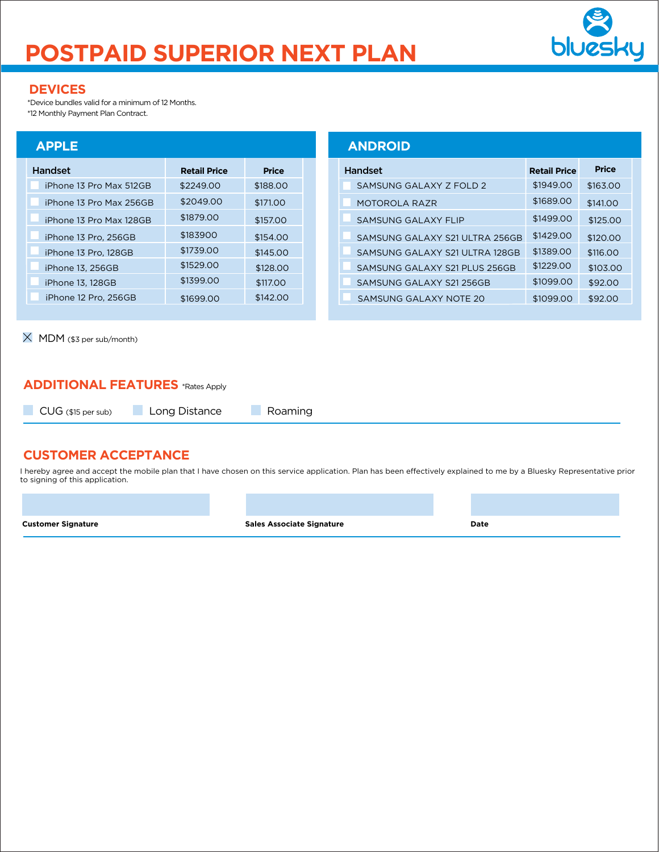# **POSTPAID SUPERIOR NEXT PLAN**



#### **DEVICES**

\*Device bundles valid for a minimum of 12 Months. \*12 Monthly Payment Plan Contract.

#### **APPLE**

| Handset                 | <b>Retail Price</b> | <b>Price</b> |
|-------------------------|---------------------|--------------|
| iPhone 13 Pro Max 512GB | \$2249.00           | \$188,00     |
| iPhone 13 Pro Max 256GB | \$2049.00           | \$171.00     |
| iPhone 13 Pro Max 128GB | \$1879.00           | \$157.00     |
| iPhone 13 Pro, 256GB    | \$183900            | \$154.00     |
| iPhone 13 Pro, 128GB    | \$1739.00           | \$145.00     |
| iPhone 13, 256GB        | \$1529.00           | \$128.00     |
| iPhone 13, 128GB        | \$1399.00           | \$117.00     |
| iPhone 12 Pro, 256GB    | \$1699.00           | \$142.00     |

| $\times$ MDM (\$3 per sub/month) |
|----------------------------------|
|                                  |

|                     |              | <b>ANDROID</b>                 |                     |              |
|---------------------|--------------|--------------------------------|---------------------|--------------|
| <b>Retail Price</b> | <b>Price</b> | <b>Handset</b>                 | <b>Retail Price</b> | <b>Price</b> |
| \$2249.00           | \$188.00     | SAMSUNG GALAXY Z FOLD 2        | \$1949.00           | \$163.00     |
| \$2049.00           | \$171.00     | MOTOROLA RAZR                  | \$1689.00           | \$141.00     |
| \$1879.00           | \$157.00     | <b>SAMSUNG GALAXY FLIP</b>     | \$1499.00           | \$125.00     |
| \$183900            | \$154.00     | SAMSUNG GALAXY S21 ULTRA 256GB | \$1429.00           | \$120.00     |
| \$1739.00           | \$145.00     | SAMSUNG GALAXY S21 ULTRA 128GB | \$1389.00           | \$116.00     |
| \$1529.00           | \$128.00     | SAMSUNG GALAXY S21 PLUS 256GB  | \$1229.00           | \$103.00     |
| \$1399.00           | \$117,00     | SAMSUNG GALAXY S21 256GB       | \$1099.00           | \$92.00      |
| \$1699.00           | \$142.00     | SAMSUNG GALAXY NOTE 20         | \$1099.00           | \$92.00      |

#### **ADDITIONAL FEATURES** \*Rates Apply

CUG (\$15 per sub)

**Long Distance** Roaming

#### **CUSTOMER ACCEPTANCE**

I hereby agree and accept the mobile plan that I have chosen on this service application. Plan has been effectively explained to me by a Bluesky Representative prior to signing of this application.

**Customer Signature Customer Signature Sales Associate Signature Customer Signature Date**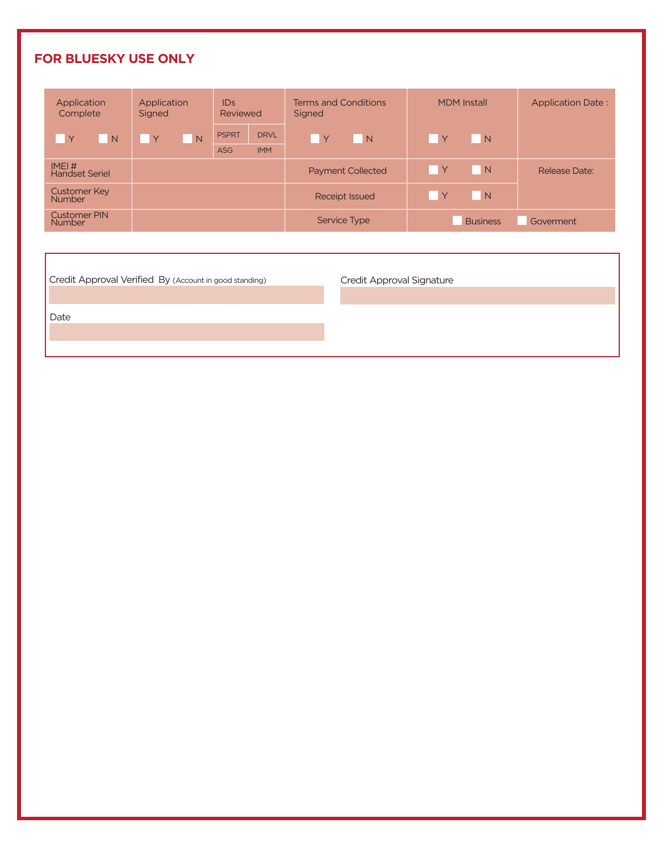### **FOR BLUESKY USE ONLY**

| Application<br>Complete       | Application<br>Signed | ID <sub>S</sub><br>Reviewed                             | <b>Terms and Conditions</b><br>Signed | <b>MDM</b> Install  | <b>Application Date:</b> |
|-------------------------------|-----------------------|---------------------------------------------------------|---------------------------------------|---------------------|--------------------------|
| $\mathsf{Y}$<br>N             | Υ<br>N                | <b>PSPRT</b><br><b>DRVL</b><br><b>IMM</b><br><b>ASG</b> | <b>Y</b><br>N                         | $\mathsf{Y}$<br>N   |                          |
| IMEI#<br>Handset Seriel       |                       |                                                         | <b>Payment Collected</b>              | Y<br>$\overline{N}$ | Release Date:            |
| Customer Key<br>Number        |                       |                                                         | <b>Receipt Issued</b>                 | Y<br>N              |                          |
| <b>Customer PIN</b><br>Number |                       |                                                         | <b>Service Type</b>                   | <b>Business</b>     | Goverment                |

Credit Approval Verified By (Account in good standing) Credit Approval Signature

Date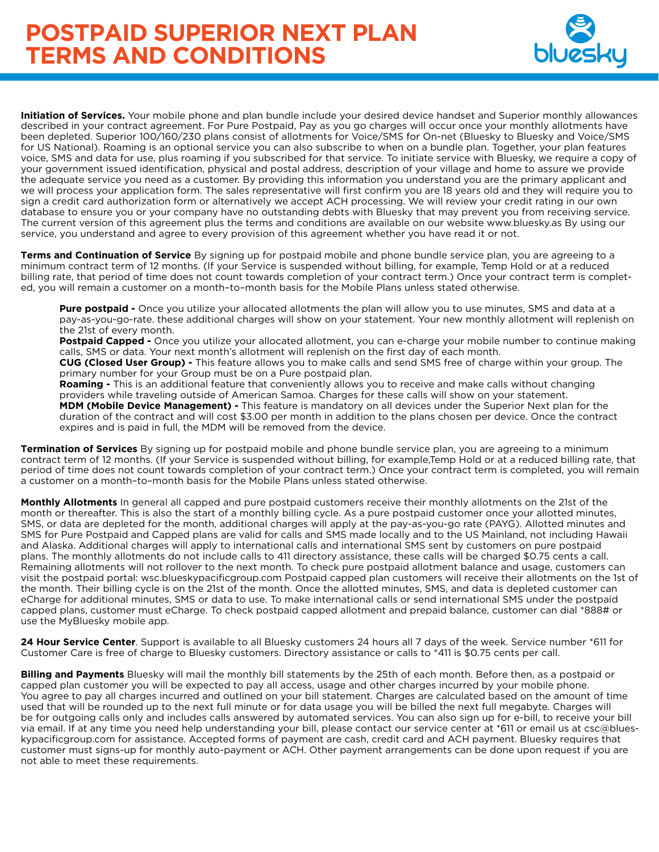## **POSTPAID SUPERIOR NEXT PLAN TERMS AND CONDITIONS**



**Initiation of Services.** Your mobile phone and plan bundle include your desired device handset and Superior monthly allowances described in your contract agreement. For Pure Postpaid, Pay as you go charges will occur once your monthly allotments have been depleted. Superior 100/160/230 plans consist of allotments for Voice/SMS for On-net (Bluesky to Bluesky and Voice/SMS for US National). Roaming is an optional service you can also subscribe to when on a bundle plan. Together, your plan features voice, SMS and data for use, plus roaming if you subscribed for that service. To initiate service with Bluesky, we require a copy of your government issued identification, physical and postal address, description of your village and home to assure we provide the adequate service you need as a customer. By providing this information you understand you are the primary applicant and we will process your application form. The sales representative will first confirm you are 18 years old and they will require you to sign a credit card authorization form or alternatively we accept ACH processing. We will review your credit rating in our own database to ensure you or your company have no outstanding debts with Bluesky that may prevent you from receiving service. The current version of this agreement plus the terms and conditions are available on our website www.bluesky.as By using our service, you understand and agree to every provision of this agreement whether you have read it or not.

**Terms and Continuation of Service** By signing up for postpaid mobile and phone bundle service plan, you are agreeing to a minimum contract term of 12 months. (If your Service is suspended without billing, for example, Temp Hold or at a reduced billing rate, that period of time does not count towards completion of your contract term.) Once your contract term is completed, you will remain a customer on a month–to–month basis for the Mobile Plans unless stated otherwise.

**Pure postpaid -** Once you utilize your allocated allotments the plan will allow you to use minutes, SMS and data at a pay-as-you-go-rate. these additional charges will show on your statement. Your new monthly allotment will replenish on the 21st of every month.

**Postpaid Capped -** Once you utilize your allocated allotment, you can e-charge your mobile number to continue making calls, SMS or data. Your next month's allotment will replenish on the first day of each month.

**CUG (Closed User Group) -** This feature allows you to make calls and send SMS free of charge within your group. The primary number for your Group must be on a Pure postpaid plan.

**Roaming -** This is an additional feature that conveniently allows you to receive and make calls without changing providers while traveling outside of American Samoa. Charges for these calls will show on your statement. **MDM (Mobile Device Management) -** This feature is mandatory on all devices under the Superior Next plan for the duration of the contract and will cost \$3.00 per month in addition to the plans chosen per device. Once the contract expires and is paid in full, the MDM will be removed from the device.

**Termination of Services** By signing up for postpaid mobile and phone bundle service plan, you are agreeing to a minimum contract term of 12 months. (If your Service is suspended without billing, for example,Temp Hold or at a reduced billing rate, that period of time does not count towards completion of your contract term.) Once your contract term is completed, you will remain a customer on a month–to–month basis for the Mobile Plans unless stated otherwise.

**Monthly Allotments** In general all capped and pure postpaid customers receive their monthly allotments on the 21st of the month or thereafter. This is also the start of a monthly billing cycle. As a pure postpaid customer once your allotted minutes, SMS, or data are depleted for the month, additional charges will apply at the pay-as-you-go rate (PAYG). Allotted minutes and SMS for Pure Postpaid and Capped plans are valid for calls and SMS made locally and to the US Mainland, not including Hawaii and Alaska. Additional charges will apply to international calls and international SMS sent by customers on pure postpaid plans. The monthly allotments do not include calls to 411 directory assistance, these calls will be charged \$0.75 cents a call. Remaining allotments will not rollover to the next month. To check pure postpaid allotment balance and usage, customers can visit the postpaid portal: wsc.blueskypacificgroup.com Postpaid capped plan customers will receive their allotments on the 1st of the month. Their billing cycle is on the 21st of the month. Once the allotted minutes, SMS, and data is depleted customer can eCharge for additional minutes, SMS or data to use. To make international calls or send international SMS under the postpaid capped plans, customer must eCharge. To check postpaid capped allotment and prepaid balance, customer can dial \*888# or use the MyBluesky mobile app.

**24 Hour Service Center**. Support is available to all Bluesky customers 24 hours all 7 days of the week. Service number \*611 for Customer Care is free of charge to Bluesky customers. Directory assistance or calls to \*411 is \$0.75 cents per call.

**Billing and Payments** Bluesky will mail the monthly bill statements by the 25th of each month. Before then, as a postpaid or capped plan customer you will be expected to pay all access, usage and other charges incurred by your mobile phone. You agree to pay all charges incurred and outlined on your bill statement. Charges are calculated based on the amount of time used that will be rounded up to the next full minute or for data usage you will be billed the next full megabyte. Charges will be for outgoing calls only and includes calls answered by automated services. You can also sign up for e-bill, to receive your bill via email. If at any time you need help understanding your bill, please contact our service center at \*611 or email us at csc@blueskypacificgroup.com for assistance. Accepted forms of payment are cash, credit card and ACH payment. Bluesky requires that customer must signs-up for monthly auto-payment or ACH. Other payment arrangements can be done upon request if you are not able to meet these requirements.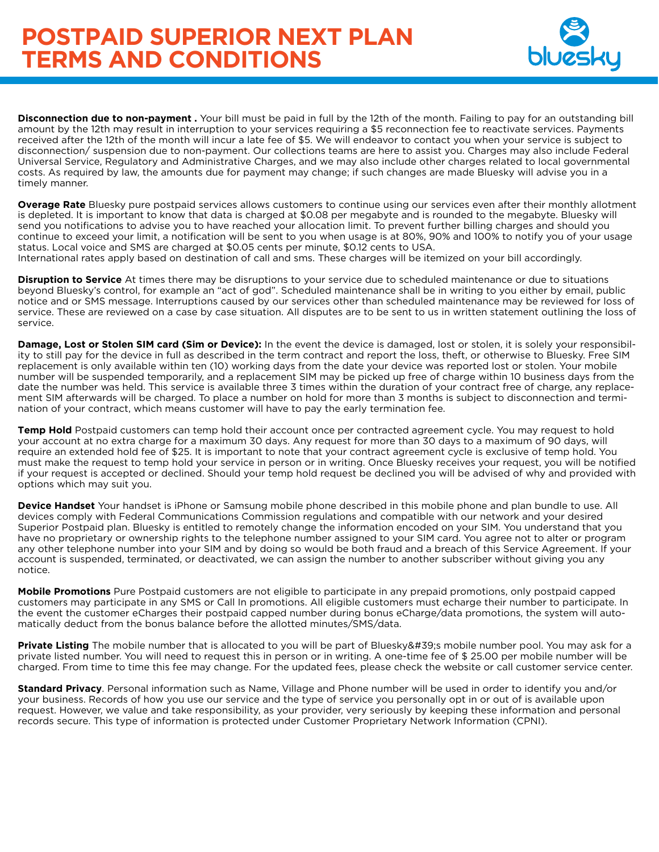### **POSTPAID SUPERIOR NEXT PLAN TERMS AND CONDITIONS**



**Disconnection due to non-payment .** Your bill must be paid in full by the 12th of the month. Failing to pay for an outstanding bill amount by the 12th may result in interruption to your services requiring a \$5 reconnection fee to reactivate services. Payments received after the 12th of the month will incur a late fee of \$5. We will endeavor to contact you when your service is subject to disconnection/ suspension due to non-payment. Our collections teams are here to assist you. Charges may also include Federal Universal Service, Regulatory and Administrative Charges, and we may also include other charges related to local governmental costs. As required by law, the amounts due for payment may change; if such changes are made Bluesky will advise you in a timely manner.

**Overage Rate** Bluesky pure postpaid services allows customers to continue using our services even after their monthly allotment is depleted. It is important to know that data is charged at \$0.08 per megabyte and is rounded to the megabyte. Bluesky will send you notifications to advise you to have reached your allocation limit. To prevent further billing charges and should you continue to exceed your limit, a notification will be sent to you when usage is at 80%, 90% and 100% to notify you of your usage status. Local voice and SMS are charged at \$0.05 cents per minute, \$0.12 cents to USA.

International rates apply based on destination of call and sms. These charges will be itemized on your bill accordingly.

**Disruption to Service** At times there may be disruptions to your service due to scheduled maintenance or due to situations beyond Bluesky's control, for example an "act of god". Scheduled maintenance shall be in writing to you either by email, public notice and or SMS message. Interruptions caused by our services other than scheduled maintenance may be reviewed for loss of service. These are reviewed on a case by case situation. All disputes are to be sent to us in written statement outlining the loss of service.

**Damage, Lost or Stolen SIM card (Sim or Device):** In the event the device is damaged, lost or stolen, it is solely your responsibility to still pay for the device in full as described in the term contract and report the loss, theft, or otherwise to Bluesky. Free SIM replacement is only available within ten (10) working days from the date your device was reported lost or stolen. Your mobile number will be suspended temporarily, and a replacement SIM may be picked up free of charge within 10 business days from the date the number was held. This service is available three 3 times within the duration of your contract free of charge, any replacement SIM afterwards will be charged. To place a number on hold for more than 3 months is subject to disconnection and termination of your contract, which means customer will have to pay the early termination fee.

**Temp Hold** Postpaid customers can temp hold their account once per contracted agreement cycle. You may request to hold your account at no extra charge for a maximum 30 days. Any request for more than 30 days to a maximum of 90 days, will require an extended hold fee of \$25. It is important to note that your contract agreement cycle is exclusive of temp hold. You must make the request to temp hold your service in person or in writing. Once Bluesky receives your request, you will be notified if your request is accepted or declined. Should your temp hold request be declined you will be advised of why and provided with options which may suit you.

**Device Handset** Your handset is iPhone or Samsung mobile phone described in this mobile phone and plan bundle to use. All devices comply with Federal Communications Commission regulations and compatible with our network and your desired Superior Postpaid plan. Bluesky is entitled to remotely change the information encoded on your SIM. You understand that you have no proprietary or ownership rights to the telephone number assigned to your SIM card. You agree not to alter or program any other telephone number into your SIM and by doing so would be both fraud and a breach of this Service Agreement. If your account is suspended, terminated, or deactivated, we can assign the number to another subscriber without giving you any notice.

**Mobile Promotions** Pure Postpaid customers are not eligible to participate in any prepaid promotions, only postpaid capped customers may participate in any SMS or Call In promotions. All eligible customers must echarge their number to participate. In the event the customer eCharges their postpaid capped number during bonus eCharge/data promotions, the system will automatically deduct from the bonus balance before the allotted minutes/SMS/data.

Private Listing The mobile number that is allocated to you will be part of Bluesky's mobile number pool. You may ask for a private listed number. You will need to request this in person or in writing. A one-time fee of \$ 25.00 per mobile number will be charged. From time to time this fee may change. For the updated fees, please check the website or call customer service center.

**Standard Privacy**. Personal information such as Name, Village and Phone number will be used in order to identify you and/or your business. Records of how you use our service and the type of service you personally opt in or out of is available upon request. However, we value and take responsibility, as your provider, very seriously by keeping these information and personal records secure. This type of information is protected under Customer Proprietary Network Information (CPNI).